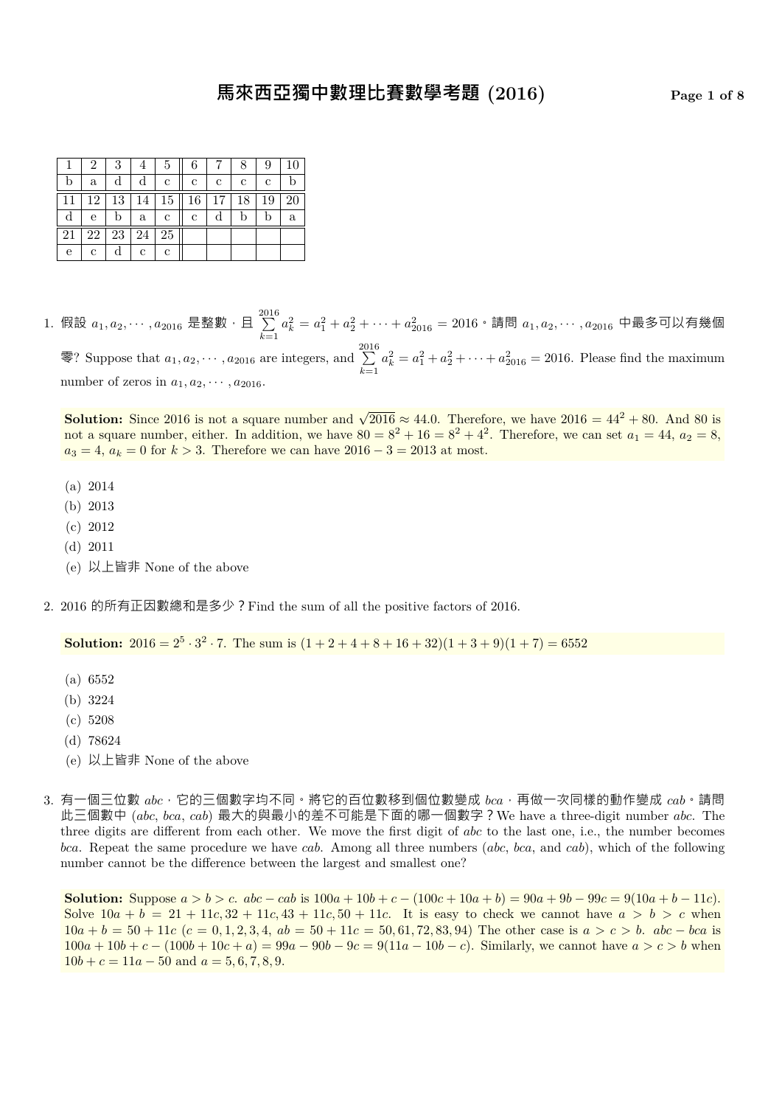|    | 2  | 3  | 4  | 5            | 6  |    |    | 9  | 10 |
|----|----|----|----|--------------|----|----|----|----|----|
| b  | a  |    |    | c            | с  | с  | с  | c  |    |
|    | 12 | 13 | 14 | 15           | 16 | 17 | 18 | 19 | 20 |
|    | e  |    | a  | c            | c  |    | b  | b  | a  |
| 21 | 22 | 23 | 24 | 25           |    |    |    |    |    |
| е  | c  |    | с  | $\mathbf{c}$ |    |    |    |    |    |

1. 假設  $a_1, a_2, \cdots, a_{2016}$  是整數,且  $\sum\limits_{i=1}^{2016}$ *k*=1  $a_k^2 = a_1^2 + a_2^2 + \cdots + a_{2016}^2 = 2016 \cdot \bar{\mathbb{a}}$ 問  $a_1, a_2, \cdots, a_{2016}$  中最多可以有幾個 零? Suppose that  $a_1, a_2, \cdots, a_{2016}$  are integers, and  $\sum_{n=1}^{2016}$ *k*=1  $a_k^2 = a_1^2 + a_2^2 + \dots + a_{2016}^2 = 2016$ . Please find the maximum number of zeros in  $a_1, a_2, \cdots, a_{2016}$ .

**Solution:** Since 2016 is not a square number and  $\sqrt{2016} \approx 44.0$ . Therefore, we have  $2016 = 44^2 + 80$ . And 80 is not a square number, either. In addition, we have  $80 = 8^2 + 16 = 8^2 + 4^2$ . Therefore, we can set  $a_1 = 44$ ,  $a_2 = 8$ ,  $a_3 = 4, a_k = 0$  for  $k > 3$ . Therefore we can have  $2016 - 3 = 2013$  at most.

- (a) 2014
- (b) 2013
- (c) 2012
- (d) 2011
- (e) 以上皆非 None of the above
- 2. 2016 的所有正因數總和是多少?Find the sum of all the positive factors of 2016.

**Solution:**  $2016 = 2^5 \cdot 3^2 \cdot 7$ . The sum is  $(1 + 2 + 4 + 8 + 16 + 32)(1 + 3 + 9)(1 + 7) = 6552$ 

- (a) 6552
- (b) 3224
- (c) 5208
- (d) 78624
- (e) 以上皆非 None of the above
- 3. 有一個三位數 *abc*,它的三個數字均不同。將它的百位數移到個位數變成 *bca*,再做一次同樣的動作變成 *cab*。請問 此三個數中 (*abc*, *bca*, *cab*) 最大的與最小的差不可能是下面的哪一個數字?We have a three-digit number *abc*. The three digits are different from each other. We move the first digit of *abc* to the last one, i.e., the number becomes *bca*. Repeat the same procedure we have *cab*. Among all three numbers (*abc*, *bca*, and *cab*), which of the following number cannot be the difference between the largest and smallest one?

**Solution:** Suppose  $a > b > c$ .  $abc - cab$  is  $100a + 10b + c - (100c + 10a + b) = 90a + 9b - 99c = 9(10a + b - 11c)$ . Solve  $10a + b = 21 + 11c$ ,  $32 + 11c$ ,  $43 + 11c$ ,  $50 + 11c$ . It is easy to check we cannot have  $a > b > c$  when  $10a + b = 50 + 11c$   $(c = 0, 1, 2, 3, 4, ab = 50 + 11c = 50, 61, 72, 83, 94)$  The other case is  $a > c > b$ .  $abc - bca$  is  $100a + 10b + c - (100b + 10c + a) = 99a - 90b - 9c = 9(11a - 10b - c)$ . Similarly, we cannot have  $a > c > b$  when  $10b + c = 11a - 50$  and  $a = 5, 6, 7, 8, 9$ .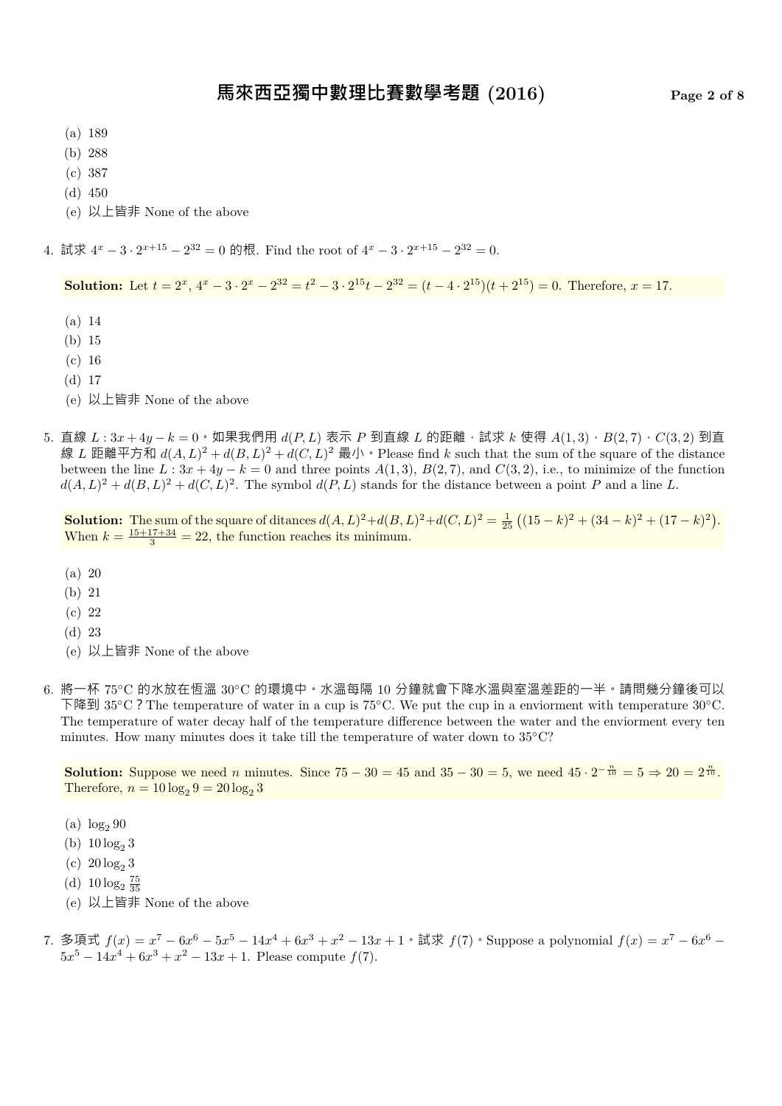- (a) 189
- (b) 288
- (c) 387
- (d) 450
- (e) 以上皆非 None of the above

4. 試求  $4^x - 3 \cdot 2^{x+15} - 2^{32} = 0$  的根. Find the root of  $4^x - 3 \cdot 2^{x+15} - 2^{32} = 0$ .

**Solution:** Let  $t = 2^x$ ,  $4^x - 3 \cdot 2^x - 2^{32} = t^2 - 3 \cdot 2^{15}t - 2^{32} = (t - 4 \cdot 2^{15})(t + 2^{15}) = 0$ . Therefore,  $x = 17$ .

- (a) 14
- (b) 15
- (c) 16
- (d) 17
- (e) 以上皆非 None of the above
- 5. 直線 *<sup>L</sup>* : 3*<sup>x</sup>* + 4*<sup>y</sup> <sup>−</sup> <sup>k</sup>* = 0。如果我們用 *<sup>d</sup>*(*P, L*) 表示 *<sup>P</sup>* 到直線 *<sup>L</sup>* 的距離,試求 *<sup>k</sup>* 使得 *<sup>A</sup>*(1*,* 3),*B*(2*,* 7),*C*(3*,* 2) 到直 線 L 距離平方和  $d(A, L)^2 + d(B, L)^2 + d(C, L)^2$  最小 • Please find k such that the sum of the square of the distance between the line  $L: 3x + 4y - k = 0$  and three points  $A(1,3), B(2,7),$  and  $C(3,2),$  i.e., to minimize of the function  $d(A, L)^2 + d(B, L)^2 + d(C, L)^2$ . The symbol  $d(P, L)$  stands for the distance between a point *P* and a line *L*.

**Solution:** The sum of the square of ditances  $d(A, L)^2 + d(B, L)^2 + d(C, L)^2 = \frac{1}{25} ((15 - k)^2 + (34 - k)^2 + (17 - k)^2)$ . When  $k = \frac{15+17+34}{3} = 22$ , the function reaches its minimum.

- (a) 20
- (b) 21
- (c) 22
- (d) 23
- (e) 以上皆非 None of the above
- 6. 將一杯 75*◦*C 的水放在恆溫 30*◦*C 的環境中。水溫每隔 10 分鐘就會下降水溫與室溫差距的一半。請問幾分鐘後可以 下降到 35*◦*C?The temperature of water in a cup is 75*◦*C. We put the cup in a enviorment with temperature 30*◦*C. The temperature of water decay half of the temperature difference between the water and the enviorment every ten minutes. How many minutes does it take till the temperature of water down to 35*◦*C?

**Solution:** Suppose we need *n* minutes. Since  $75 - 30 = 45$  and  $35 - 30 = 5$ , we need  $45 \cdot 2^{-\frac{n}{10}} = 5 \Rightarrow 20 = 2^{\frac{n}{10}}$ . Therefore,  $n = 10 \log_2 9 = 20 \log_2 3$ 

- (a)  $\log_2 90$
- (b)  $10 \log_2 3$
- (c)  $20 \log_2 3$
- (d)  $10 \log_2 \frac{75}{35}$
- (e) 以上皆非 None of the above
- 7. 多項式  $f(x) = x^7 6x^6 5x^5 14x^4 + 6x^3 + x^2 13x + 1 \cdot \exists x$   $f(7)$  · Suppose a polynomial  $f(x) = x^7 6x^6 14x^4 + 6x^3 + x^2 13x + 1 \cdot \exists x$  $5x^5 - 14x^4 + 6x^3 + x^2 - 13x + 1$ . Please compute  $f(7)$ .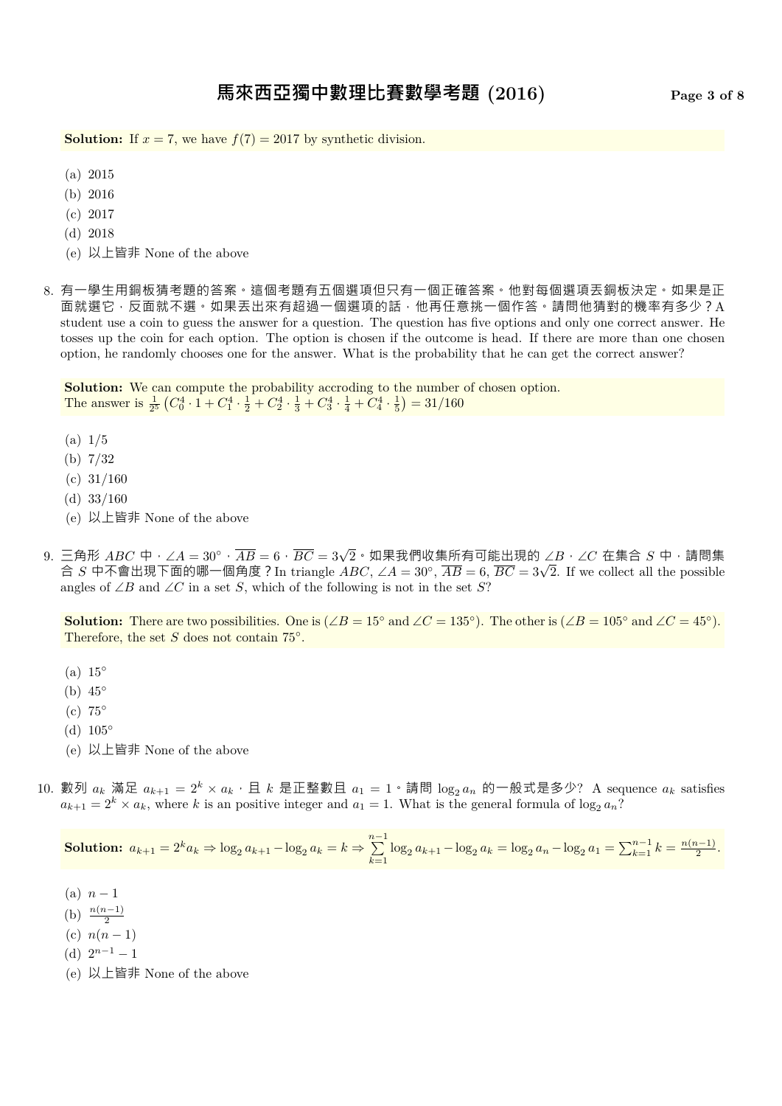**Solution:** If  $x = 7$ , we have  $f(7) = 2017$  by synthetic division.

- (a) 2015
- (b) 2016
- (c) 2017
- (d) 2018
- (e) 以上皆非 None of the above
- 8. 有一學生用銅板猜考題的答案。這個考題有五個選項但只有一個正確答案。他對每個選項丟銅板決定。如果是正 面就選它,反面就不選。如果丟出來有超過一個選項的話,他再任意挑一個作答。請問他猜對的機率有多少?A student use a coin to guess the answer for a question. The question has five options and only one correct answer. He tosses up the coin for each option. The option is chosen if the outcome is head. If there are more than one chosen option, he randomly chooses one for the answer. What is the probability that he can get the correct answer?

**Solution:** We can compute the probability accroding to the number of chosen option. The answer is  $\frac{1}{2^5} \left( C_0^4 \cdot 1 + C_1^4 \cdot \frac{1}{2} + C_2^4 \cdot \frac{1}{3} + C_3^4 \cdot \frac{1}{4} + C_4^4 \cdot \frac{1}{5} \right) = 31/160$ 

- (a) 1/5
- (b) 7/32
- $(c)$  31/160
- (d) 33/160
- (e) 以上皆非 None of the above
- 9. 三角形 *ABC* 中,∠*<sup>A</sup>* = 30*◦*,*AB* = 6,*BC* = 3*<sup>√</sup>* 2。如果我們收集所有可能出現的 ∠*B*,∠*C* 在集合 *S* 中,請問集 合 *S* 中不會出現下面的哪一個角度?In triangle *ABC*, ∠*A* = 30*◦* , *AB* = 6, *BC* = 3*<sup>√</sup>* 2. If we collect all the possible angles of ∠*B* and ∠*C* in a set *S*, which of the following is not in the set *S*?

**Solution:** There are two possibilities. One is (∠*B* = 15<sup>°</sup> and ∠*C* = 135<sup>°</sup>). The other is (∠*B* = 105<sup>°</sup> and ∠*C* = 45<sup>°</sup>). Therefore, the set *S* does not contain 75*◦* .

- (a) 15*◦*
- (b) 45*◦*
- (c) 75*◦*
- (d) 105*◦*
- (e) 以上皆非 None of the above
- 10. 數列  $a_k$  滿足  $a_{k+1} = 2^k \times a_k \cdot \text{E } k$  是正整數且  $a_1 = 1 \cdot \text{F}$ 問  $\log_2 a_n$  的一般式是多少? A sequence  $a_k$  satisfies  $a_{k+1} = 2^k \times a_k$ , where *k* is an positive integer and  $a_1 = 1$ . What is the general formula of log<sub>2</sub>  $a_n$ ?

**Solution:**  $a_{k+1} = 2^k a_k \Rightarrow \log_2 a_{k+1} - \log_2 a_k = k \Rightarrow \sum_{k=1}^{n-1}$  $\sum_{k=1}^{n} \log_2 a_{k+1} - \log_2 a_k = \log_2 a_n - \log_2 a_1 = \sum_{k=1}^{n-1} k = \frac{n(n-1)}{2}.$ 

- $(n)$  *n*  $-1$
- (b)  $\frac{n(n-1)}{2}$
- (c)  $n(n-1)$
- (d)  $2^{n-1} 1$
- (e) 以上皆非 None of the above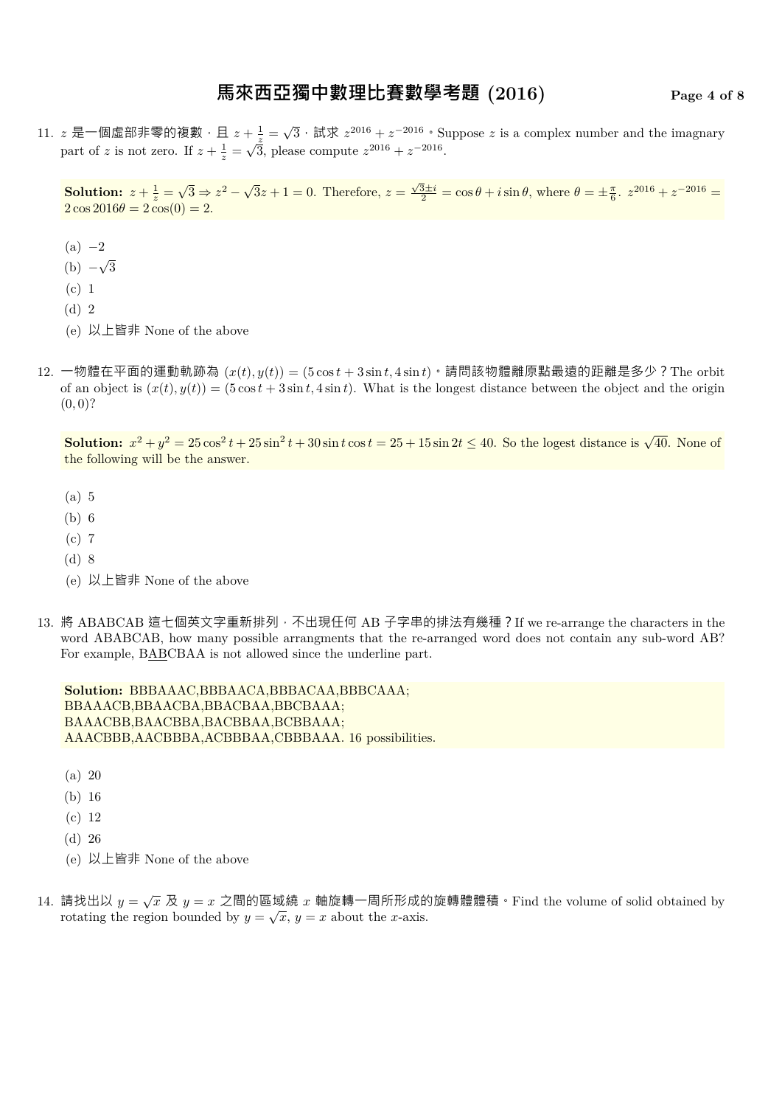## **馬來西亞獨中數理比賽數學考題 (2016) Page 4 of 8**

11. z 是一個虛部非零的複數,且  $z + \frac{1}{z} = \sqrt{3} \cdot i \frac{1}{z} \cdot z^{2016} + z^{-2016} \cdot \text{Suppose } z$  is a complex number and the imagnary part of *z* is not zero. If  $z + \frac{1}{z} = \sqrt{\frac{z}{3}}$ , please compute  $z^{2016} + z^{-2016}$ .

**Solution:**  $z + \frac{1}{z} = \sqrt{3} \Rightarrow z^2 - \sqrt{3}z + 1 = 0$ . Therefore,  $z = \frac{\sqrt{3} \pm i}{2} = \cos \theta + i \sin \theta$ , where  $\theta = \pm \frac{\pi}{6}$ .  $z^{2016} + z^{-2016} =$  $2 \cos 2016\theta = 2 \cos(0) = 2.$ 

- (a) *−*2
- (b) *− √* 3
- (c) 1
- (d) 2
- (e) 以上皆非 None of the above
- 12. 一物體在平面的運動軌跡為  $(x(t), y(t)) = (5 \cos t + 3 \sin t, 4 \sin t)$  · 請問該物體離原點最遠的距離是多少? The orbit of an object is  $(x(t), y(t)) = (5 \cos t + 3 \sin t, 4 \sin t)$ . What is the longest distance between the object and the origin  $(0,0)$ ?

**Solution:**  $x^2 + y^2 = 25 \cos^2 t + 25 \sin^2 t + 30 \sin t \cos t = 25 + 15 \sin 2t \le 40$ . So the logest distance is  $\sqrt{40}$ . None of the following will be the answer.

- (a) 5
- (b) 6
- (c) 7
- (d) 8
- (e) 以上皆非 None of the above
- 13. 將 ABABCAB 這七個英文字重新排列,不出現任何 AB 子字串的排法有幾種? If we re-arrange the characters in the word ABABCAB, how many possible arrangments that the re-arranged word does not contain any sub-word AB? For example, BABCBAA is not allowed since the underline part.

**Solution:** BBBAAAC,BBBAACA,BBBACAA,BBBCAAA; BBAAACB,BBAACBA,BBACBAA,BBCBAAA; BAAACBB,BAACBBA,BACBBAA,BCBBAAA; AAACBBB,AACBBBA,ACBBBAA,CBBBAAA. 16 possibilities.

- (a) 20
- (b) 16
- (c) 12
- (d) 26
- (e) 以上皆非 None of the above
- 14. 請找出以  $y = \sqrt{x}$  及  $y = x$  之間的區域繞  $x$  軸旋轉一周所形成的旋轉體體積  $\cdot$  Find the volume of solid obtained by rotating the region bounded by  $y = \sqrt{x}$ ,  $y = x$  about the *x*-axis.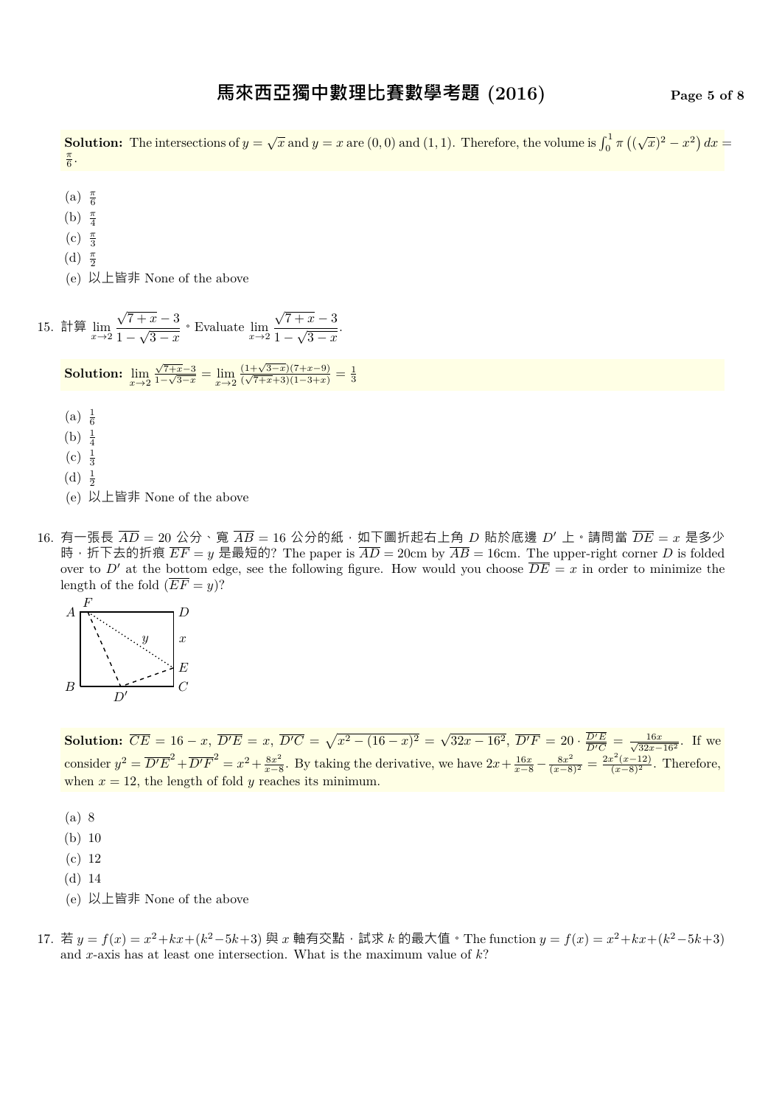**Solution:** The intersections of  $y = \sqrt{x}$  and  $y = x$  are  $(0,0)$  and  $(1,1)$ . Therefore, the volume is  $\int_0^1 \pi ((\sqrt{x})^2 - x^2) dx =$  $\frac{\pi}{6}$ .

(a) *<sup>π</sup>* 6

- (b) *<sup>π</sup>* 4
- (c) *<sup>π</sup>* 3
- (d) *<sup>π</sup>* 2
- (e) 以上皆非 None of the above

15. 
$$
\lim_{x \to 2} \lim_{x \to 2} \frac{\sqrt{7+x}-3}{1-\sqrt{3-x}}
$$
  $\cdot$  Evaluate  $\lim_{x \to 2} \frac{\sqrt{7+x}-3}{1-\sqrt{3-x}}$ .  
\n**Solution:**  $\lim_{x \to 2} \frac{\sqrt{7+x}-3}{1-\sqrt{3-x}} = \lim_{x \to 2} \frac{(1+\sqrt{3-x})(7+x-9)}{(\sqrt{7+x}+3)(1-3+x)} = \frac{1}{3}$   
\n(a)  $\frac{1}{6}$   
\n(b)  $\frac{1}{4}$   
\n(c)  $\frac{1}{3}$   
\n(d)  $\frac{1}{2}$ 

- (e) 以上皆非 None of the above
- 16. 有一張長  $\overline{AD}$  = 20 公分、寬  $\overline{AB}$  = 16 公分的紙, 如下圖折起右上角 D 貼於底邊 D' 上。請問當  $\overline{DE}$  = x 是多少 時, 折下去的折痕  $\overline{EF} = y$  是最短的? The paper is  $\overline{AD} = 20$ cm by  $\overline{AB} = 16$ cm. The upper-right corner *D* is folded over to *D'* at the bottom edge, see the following figure. How would you choose  $\overline{DE} = x$  in order to minimize the length of the fold  $(\overline{EF} = y)$ ?



**Solution:**  $\overline{CE} = 16 - x$ ,  $\overline{D'E} = x$ ,  $\overline{D'C} = \sqrt{x^2 - (16 - x)^2} = \sqrt{32x - 16^2}$ ,  $\overline{D'F} = 20 \cdot \frac{\overline{D'E}}{\overline{D'C}}$  $\frac{D'E}{D'C} = \frac{16x}{\sqrt{32x - 16^2}}$ . If we consider  $y^2 = \overline{D'E}^2 + \overline{D'F}^2 = x^2 + \frac{8x^2}{x-8}$ *x*<sup>2</sup> *x*<sup>2</sup> *x*</sub>  $\frac{8x^2}{x-8}$ . By taking the derivative, we have  $2x + \frac{16x}{x-8} - \frac{8x^2}{(x-8)^2} = \frac{2x^2(x-12)}{(x-8)^2}$ . Therefore, when  $x = 12$ , the length of fold *y* reaches its minimum.

- (a) 8
- (b) 10
- (c) 12
- (d) 14
- (e) 以上皆非 None of the above
- 17. 若  $y = f(x) = x^2 + kx + (k^2 5k + 3)$  與  $x$  軸有交點, 試求  $k$  的最大值 The function  $y = f(x) = x^2 + kx + (k^2 5k + 3)$ and *x*-axis has at least one intersection. What is the maximum value of *k*?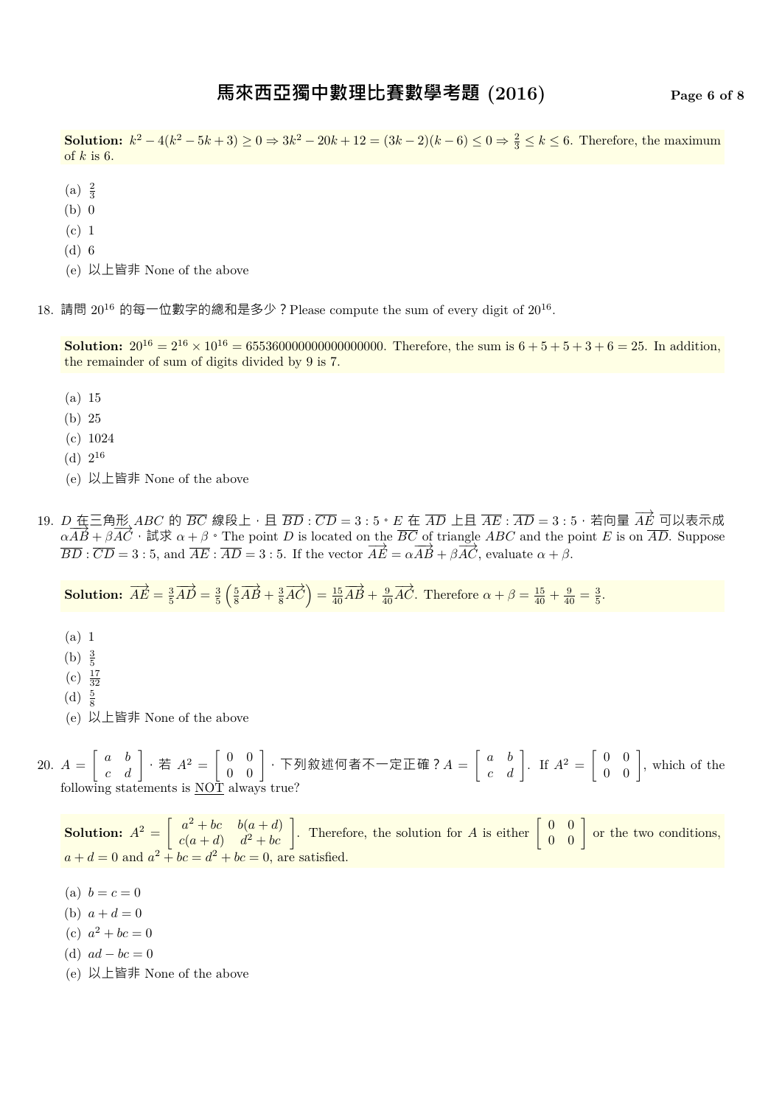**Solution:**  $k^2 - 4(k^2 - 5k + 3) \ge 0 \Rightarrow 3k^2 - 20k + 12 = (3k - 2)(k - 6) \le 0 \Rightarrow \frac{2}{3} \le k \le 6$ . Therefore, the maximum of *k* is 6.

- (a)  $\frac{2}{3}$
- (b) 0
- (c) 1
- (d) 6
- (e) 以上皆非 None of the above

18. 請問  $20^{16}$  的每一位數字的總和是多少?Please compute the sum of every digit of  $20^{16}$ .

**Solution:**  $20^{16} = 2^{16} \times 10^{16} = 655360000000000000000$ . Therefore, the sum is  $6 + 5 + 5 + 3 + 6 = 25$ . In addition, the remainder of sum of digits divided by 9 is 7.

- (a) 15
- (b) 25
- (c) 1024
- $(d) 2^{16}$
- (e) 以上皆非 None of the above
- 19. *D* 在三角形 *ABC* 的 *BC* 線段上,且 *BD* : *CD* = 3 : 5。*E* 在 *AD* 上且 *AE* : *AD* = 3 : 5,若向量 *−→AE* 可以表示成  $\overrightarrow{A}$  *AB* +  $\overrightarrow{\beta}$   $\overrightarrow{AC}$  · 試求  $\alpha + \beta$  · The point *D* is located on the  $\overrightarrow{BC}$  of triangle *ABC* and the point *E* is on  $\overrightarrow{AD}$ . Suppose  $\overrightarrow{BD} : \overrightarrow{CD} = 3 : 5$ , and  $\overrightarrow{AE} : \overrightarrow{AD} = 3 : 5$ . If the vector  $\overrightarrow{AE} = \alpha \overrightarrow{AB} + \beta \overrightarrow{AC}$ , evaluate  $\alpha + \beta$ .

**Solution:**  $\overrightarrow{AE} = \frac{3}{5} \overrightarrow{AD} = \frac{3}{5}$  $\left(\frac{5}{8}\overrightarrow{AB} + \frac{3}{8}\overrightarrow{AC}\right) = \frac{15}{40}\overrightarrow{AB} + \frac{9}{40}\overrightarrow{AC}$ . Therefore  $\alpha + \beta = \frac{15}{40} + \frac{9}{40} = \frac{3}{5}$ .

- (a) 1
- (b)  $\frac{3}{5}$
- $(c) \frac{17}{32}$
- 
- $(d) \frac{5}{8}$
- (e) 以上皆非 None of the above

20.  $A =$  $\begin{bmatrix} a & b \\ c & d \end{bmatrix}$ , 若  $A^2 = \begin{bmatrix} 0 & 0 \\ 0 & 0 \end{bmatrix}$ , 下列敘述何者不一定正確?  $A = \begin{bmatrix} a & b \\ c & d \end{bmatrix}$ . If  $A^2 = \begin{bmatrix} 0 & 0 \\ 0 & 0 \end{bmatrix}$ , which of the following statements is NOT always true?

**Solution:**  $A^2 = \begin{bmatrix} a^2 + bc & b(a+d) \\ c(a+d) & d^2 + bc \end{bmatrix}$  $\begin{bmatrix} a^2 + bc & b(a+d) \\ c(a+d) & d^2 + bc \end{bmatrix}$ . Therefore, the solution for *A* is either  $\begin{bmatrix} 0 & 0 \\ 0 & 0 \end{bmatrix}$  or the two conditions,  $a + d = 0$  and  $a^2 + bc = d^2 + bc = 0$ , are satisfied.

- (a)  $b = c = 0$
- (b)  $a + d = 0$
- (c)  $a^2 + bc = 0$
- (d)  $ad bc = 0$
- (e) 以上皆非 None of the above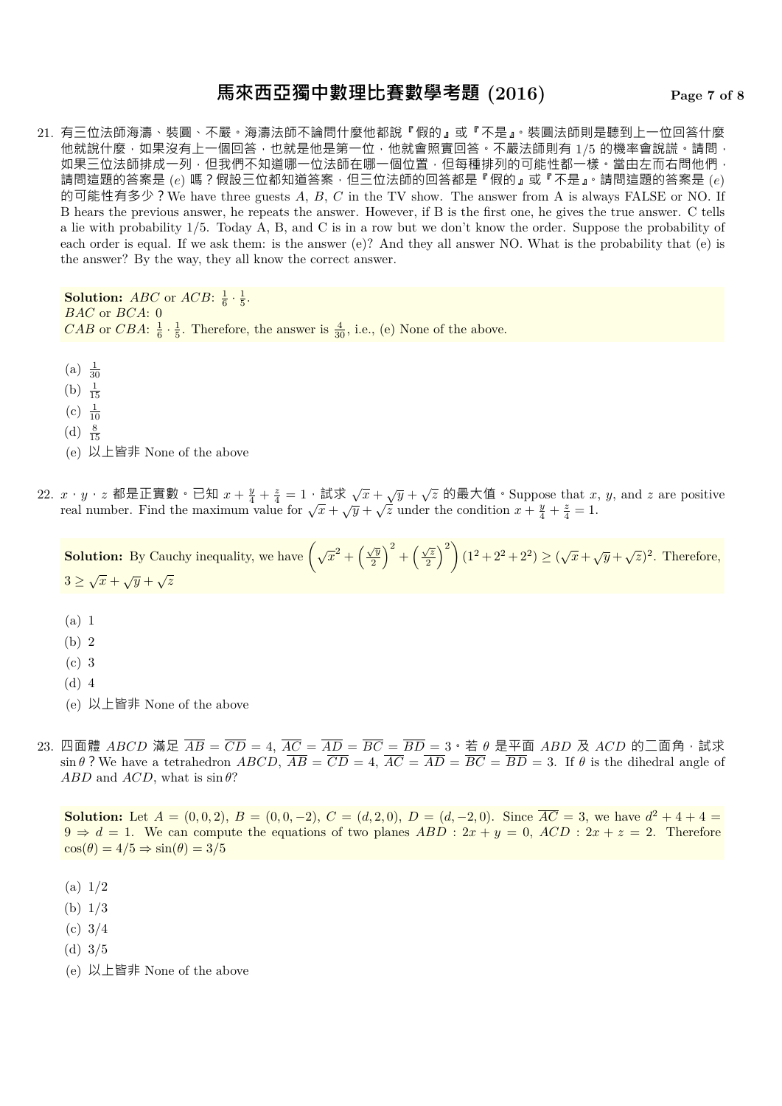## **馬來西亞獨中數理比賽數學考題 (2016) Page 7 of 8**

21. 有三位法師海濤、裝圓、不嚴。海濤法師不論問什麼他都說『假的』或『不是』。裝圓法師則是聽到上一位回答什麼 他就說什麼,如果沒有上一個回答,也就是他是第一位,他就會照實回答。不嚴法師則有 1/5 的機率會說謊。請問, 如果三位法師排成一列,但我們不知道哪一位法師在哪一個位置,但每種排列的可能性都一樣。當由左而右問他們, 請問這題的答案是 (*e*) 嗎?假設三位都知道答案,但三位法師的回答都是『假的』或『不是』。請問這題的答案是 (*e*) 的可能性有多少?We have three guests *A*, *B*, *C* in the TV show. The answer from A is always FALSE or NO. If B hears the previous answer, he repeats the answer. However, if B is the first one, he gives the true answer. C tells a lie with probability 1/5. Today A, B, and C is in a row but we don't know the order. Suppose the probability of each order is equal. If we ask them: is the answer (e)? And they all answer NO. What is the probability that (e) is the answer? By the way, they all know the correct answer.

**Solution:** *ABC* or *ACB*:  $\frac{1}{6} \cdot \frac{1}{5}$ . *BAC* or *BCA*: 0 *CAB* or *CBA*:  $\frac{1}{6} \cdot \frac{1}{5}$ . Therefore, the answer is  $\frac{4}{30}$ , i.e., (e) None of the above.

- (a)  $\frac{1}{30}$
- (b)  $\frac{1}{15}$
- $(c) \frac{1}{10}$
- (d)  $\frac{8}{15}$
- (e) 以上皆非 None of the above
- 22.  $x \cdot y \cdot z$  都是正實數。已知  $x + \frac{y}{4} + \frac{z}{4} = 1 \cdot \frac{1}{2} \cdot \frac{1}{2} \cdot \frac{1}{2} \cdot \frac{1}{2} \cdot \frac{1}{2} \cdot \frac{1}{2} \cdot \frac{1}{2} \cdot \frac{1}{2} \cdot \frac{1}{2} \cdot \frac{1}{2} \cdot \frac{1}{2} \cdot \frac{1}{2} \cdot \frac{1}{2} \cdot \frac{1}{2} \cdot \frac{1}{2} \cdot \frac{1}{2} \cdot \frac{1}{2} \cdot \frac{1}{2} \cdot \frac{1}{2} \cdot \frac{$ real number. Find the maximum value for  $\sqrt{x} + \sqrt{y} + \sqrt{z}$  under the condition  $x + \frac{y}{4} + \frac{z}{4} = 1$ .

**Solution:** By Cauchy inequality, we have  $(\sqrt{x^2 + (\frac{\sqrt{y}}{2})^2})(\sqrt{x^2 + (\frac{\sqrt{y}}{2})^2}))$ 2  $\int_0^2 + \left(\frac{\sqrt{z}}{2}\right)^2$ 2  $\binom{2}{1} (1^2 + 2^2 + 2^2) \ge (\sqrt{x} + \sqrt{y} + \sqrt{z})^2$ . Therefore,  $3 \geq \sqrt{x} + \sqrt{y} + \sqrt{z}$ 

- (a) 1
- (b) 2
- (c) 3
- (d) 4
- (e) 以上皆非 None of the above
- 23. 四面體 *ABCD* 滿足  $\overline{AB} = \overline{CD} = 4$ ,  $\overline{AC} = \overline{AD} = \overline{BC} = \overline{BD} = 3 \cdot \overline{A}$  θ 是平面 *ABD* 及 *ACD* 的二面角, 試求  $\sin \theta$ ? We have a tetrahedron *ABCD*,  $\overline{AB} = \overline{CD} = 4$ ,  $\overline{AC} = \overline{AD} = \overline{BC} = \overline{BD} = 3$ . If  $\theta$  is the dihedral angle of *ABD* and *ACD*, what is  $\sin \theta$ ?

**Solution:** Let  $A = (0,0,2), B = (0,0,-2), C = (d,2,0), D = (d,-2,0).$  Since  $\overline{AC} = 3$ , we have  $d^2 + 4 + 4 =$  $9 \Rightarrow d = 1$ . We can compute the equations of two planes  $ABD : 2x + y = 0$ ,  $ACD : 2x + z = 2$ . Therefore  $\cos(\theta) = 4/5 \Rightarrow \sin(\theta) = 3/5$ 

- (a) 1/2
- (b) 1/3
- (c) 3/4
- (d) 3/5
- (e) 以上皆非 None of the above